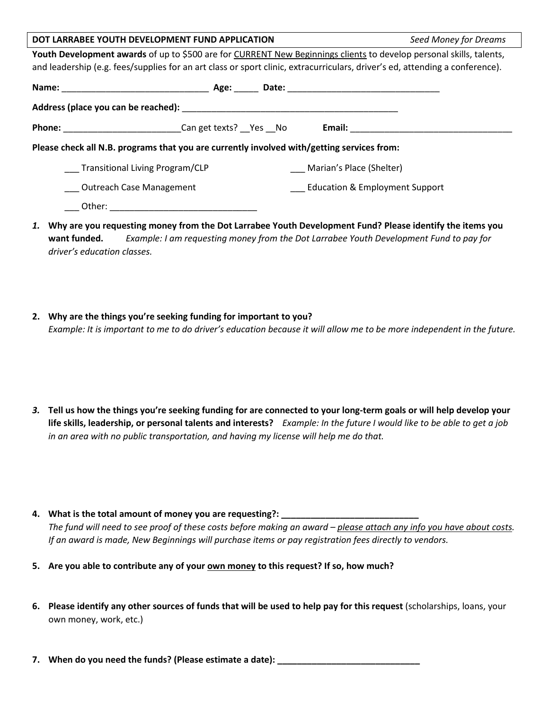| DOT LARRABEE YOUTH DEVELOPMENT FUND APPLICATION                                                                              |  |                                           | Seed Money for Dreams |  |
|------------------------------------------------------------------------------------------------------------------------------|--|-------------------------------------------|-----------------------|--|
| Youth Development awards of up to \$500 are for CURRENT New Beginnings clients to develop personal skills, talents,          |  |                                           |                       |  |
| and leadership (e.g. fees/supplies for an art class or sport clinic, extracurriculars, driver's ed, attending a conference). |  |                                           |                       |  |
|                                                                                                                              |  |                                           |                       |  |
|                                                                                                                              |  |                                           |                       |  |
| <b>Phone:</b> Can get texts? Yes No                                                                                          |  |                                           |                       |  |
| Please check all N.B. programs that you are currently involved with/getting services from:                                   |  |                                           |                       |  |
| Transitional Living Program/CLP                                                                                              |  | Marian's Place (Shelter)                  |                       |  |
| Outreach Case Management                                                                                                     |  | <b>Education &amp; Employment Support</b> |                       |  |
| Other:                                                                                                                       |  |                                           |                       |  |

- *1.* **Why are you requesting money from the Dot Larrabee Youth Development Fund? Please identify the items you want funded.** *Example: I am requesting money from the Dot Larrabee Youth Development Fund to pay for driver's education classes.*
- **2. Why are the things you're seeking funding for important to you?** *Example: It is important to me to do driver's education because it will allow me to be more independent in the future.*
- *3.* **Tell us how the things you're seeking funding for are connected to your long-term goals or will help develop your life skills, leadership, or personal talents and interests?** *Example: In the future I would like to be able to get a job in an area with no public transportation, and having my license will help me do that.*
- **4. What is the total amount of money you are requesting?: \_\_\_\_\_\_\_\_\_\_\_\_\_\_\_\_\_\_\_\_\_\_\_\_\_\_\_\_**

*The fund will need to see proof of these costs before making an award – please attach any info you have about costs. If an award is made, New Beginnings will purchase items or pay registration fees directly to vendors.* 

- **5. Are you able to contribute any of your own money to this request? If so, how much?**
- **6. Please identify any other sources of funds that will be used to help pay for this request** (scholarships, loans, your own money, work, etc.)
- 7. When do you need the funds? (Please estimate a date): \_\_